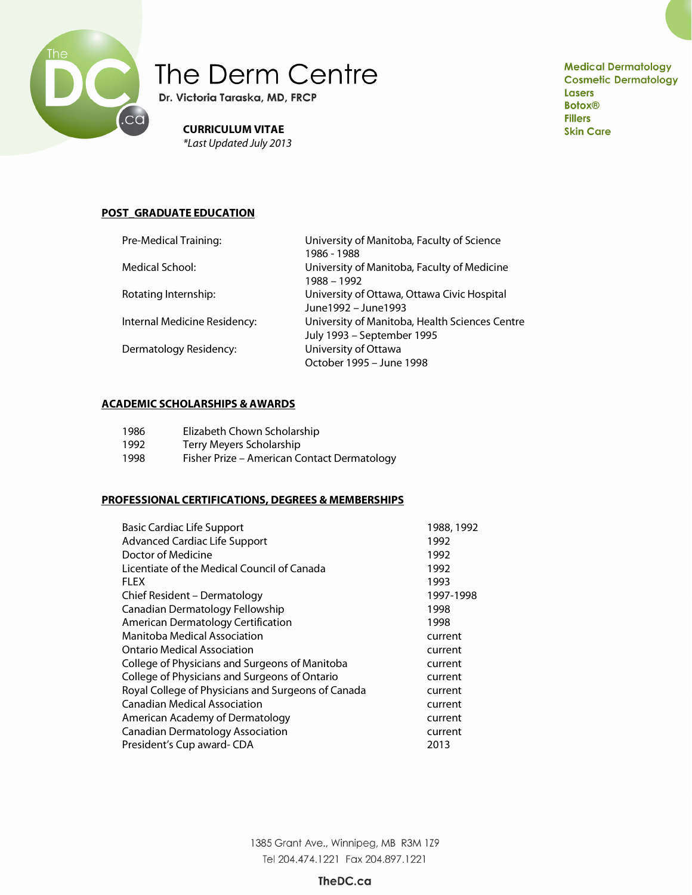

# The Derm Centre

Dr. Victoria Taraska, MD, FRCP

**CURRICULUM VITAE** \*Last Updated July 2013 **Medical Dermatology Cosmetic Dermatology Lasers Botox® Fillers Skin Care** 

# **POST\_GRADUATE EDUCATION**

| University of Manitoba, Faculty of Science     |
|------------------------------------------------|
| 1986 - 1988                                    |
| University of Manitoba, Faculty of Medicine    |
| 1988 - 1992                                    |
| University of Ottawa, Ottawa Civic Hospital    |
| June1992 - June1993                            |
| University of Manitoba, Health Sciences Centre |
| July 1993 - September 1995                     |
| University of Ottawa                           |
| October 1995 - June 1998                       |
|                                                |

# **ACADEMIC SCHOLARSHIPS & AWARDS**

| 1986 | Elizabeth Chown Scholarship                 |
|------|---------------------------------------------|
| 1992 | Terry Meyers Scholarship                    |
| 1998 | Fisher Prize – American Contact Dermatology |

#### **PROFESSIONAL CERTIFICATIONS, DEGREES & MEMBERSHIPS**

| <b>Basic Cardiac Life Support</b>                  | 1988, 1992 |
|----------------------------------------------------|------------|
| Advanced Cardiac Life Support                      | 1992       |
| Doctor of Medicine                                 | 1992       |
| Licentiate of the Medical Council of Canada        | 1992       |
| <b>FLEX</b>                                        | 1993       |
| Chief Resident – Dermatology                       | 1997-1998  |
| Canadian Dermatology Fellowship                    | 1998       |
| American Dermatology Certification                 | 1998       |
| Manitoba Medical Association                       | current    |
| Ontario Medical Association                        | current    |
| College of Physicians and Surgeons of Manitoba     | current    |
| College of Physicians and Surgeons of Ontario      | current    |
| Royal College of Physicians and Surgeons of Canada | current    |
| <b>Canadian Medical Association</b>                | current    |
| American Academy of Dermatology                    | current    |
| <b>Canadian Dermatology Association</b>            | current    |
| President's Cup award-CDA                          | 2013       |

1385 Grant Ave., Winnipeg, MB R3M 1Z9 Tel 204.474.1221 Fax 204.897.1221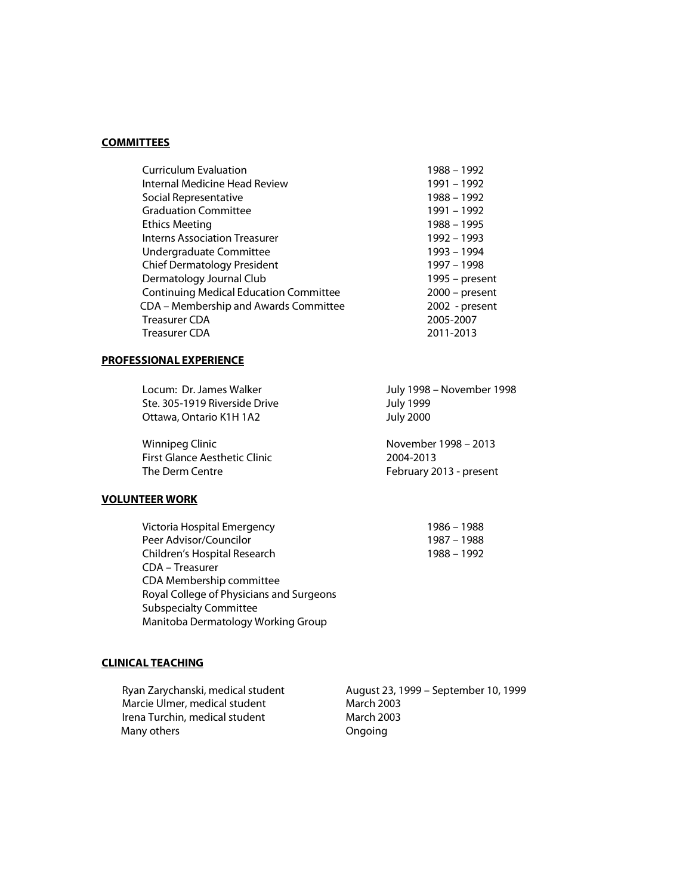#### **COMMITTEES**

| <b>Curriculum Evaluation</b>                  | 1988 - 1992      |
|-----------------------------------------------|------------------|
| Internal Medicine Head Review                 | 1991 - 1992      |
| Social Representative                         | 1988 - 1992      |
| <b>Graduation Committee</b>                   | 1991 - 1992      |
| <b>Ethics Meeting</b>                         | 1988 - 1995      |
| <b>Interns Association Treasurer</b>          | 1992 - 1993      |
| Undergraduate Committee                       | 1993 - 1994      |
| <b>Chief Dermatology President</b>            | 1997 - 1998      |
| Dermatology Journal Club                      | 1995 - present   |
| <b>Continuing Medical Education Committee</b> | $2000$ – present |
| CDA - Membership and Awards Committee         | 2002 - present   |
| <b>Treasurer CDA</b>                          | 2005-2007        |
| Treasurer CDA                                 | 2011-2013        |
|                                               |                  |

## **PROFESSIONAL EXPERIENCE**

| Locum: Dr. James Walker       | July 1998 – November 1998 |
|-------------------------------|---------------------------|
| Ste. 305-1919 Riverside Drive | <b>July 1999</b>          |
| Ottawa, Ontario K1H 1A2       | <b>July 2000</b>          |
|                               |                           |

Winnipeg Clinic **November 1998 – 2013** First Glance Aesthetic Clinic 2004-2013 The Derm Centre February 2013 - present

# **VOLUNTEER WORK**

Victoria Hospital Emergency<br>
Peer Advisor/Councilor<br>
1987 – 1988 Peer Advisor/Councilor<br>Children's Hospital Research<br>1988 – 1992 Children's Hospital Research CDA – Treasurer CDA Membership committee Royal College of Physicians and Surgeons Subspecialty Committee Manitoba Dermatology Working Group

#### **CLINICAL TEACHING**

Ryan Zarychanski, medical student August 23, 1999 – September 10, 1999<br>Marcie Ulmer, medical student March 2003 Marcie Ulmer, medical student March 2003<br>Irena Turchin, medical student March 2003 Irena Turchin, medical student Many others **Congress** Ongoing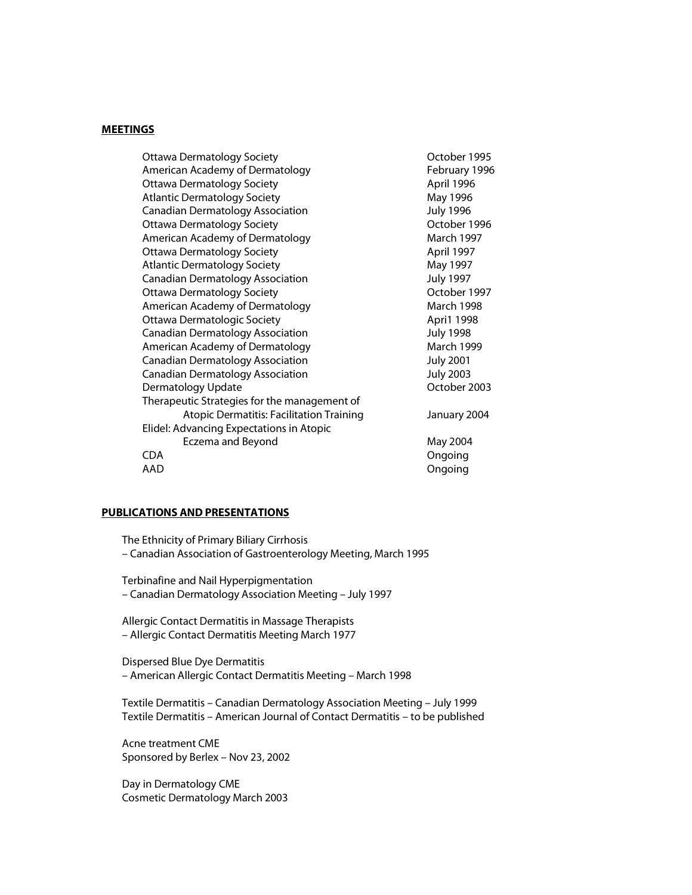#### **MEETINGS**

| Ottawa Dermatology Society                      | October 1995      |
|-------------------------------------------------|-------------------|
| American Academy of Dermatology                 | February 1996     |
| <b>Ottawa Dermatology Society</b>               | April 1996        |
| <b>Atlantic Dermatology Society</b>             | May 1996          |
| <b>Canadian Dermatology Association</b>         | <b>July 1996</b>  |
| <b>Ottawa Dermatology Society</b>               | October 1996      |
| American Academy of Dermatology                 | <b>March 1997</b> |
| <b>Ottawa Dermatology Society</b>               | April 1997        |
| <b>Atlantic Dermatology Society</b>             | May 1997          |
| Canadian Dermatology Association                | <b>July 1997</b>  |
| <b>Ottawa Dermatology Society</b>               | October 1997      |
| American Academy of Dermatology                 | <b>March 1998</b> |
| Ottawa Dermatologic Society                     | Apri1 1998        |
| <b>Canadian Dermatology Association</b>         | <b>July 1998</b>  |
| American Academy of Dermatology                 | <b>March 1999</b> |
| <b>Canadian Dermatology Association</b>         | <b>July 2001</b>  |
| <b>Canadian Dermatology Association</b>         | <b>July 2003</b>  |
| Dermatology Update                              | October 2003      |
| Therapeutic Strategies for the management of    |                   |
| <b>Atopic Dermatitis: Facilitation Training</b> | January 2004      |
| Elidel: Advancing Expectations in Atopic        |                   |
| Eczema and Beyond                               | May 2004          |
| <b>CDA</b>                                      | Ongoing           |
| AAD                                             | Ongoing           |

#### **PUBLICATIONS AND PRESENTATIONS**

The Ethnicity of Primary Biliary Cirrhosis – Canadian Association of Gastroenterology Meeting, March 1995

Terbinafine and Nail Hyperpigmentation – Canadian Dermatology Association Meeting – July 1997

Allergic Contact Dermatitis in Massage Therapists – Allergic Contact Dermatitis Meeting March 1977

Dispersed Blue Dye Dermatitis – American Allergic Contact Dermatitis Meeting – March 1998

Textile Dermatitis – Canadian Dermatology Association Meeting – July 1999 Textile Dermatitis – American Journal of Contact Dermatitis – to be published

Acne treatment CME Sponsored by Berlex – Nov 23, 2002

Day in Dermatology CME Cosmetic Dermatology March 2003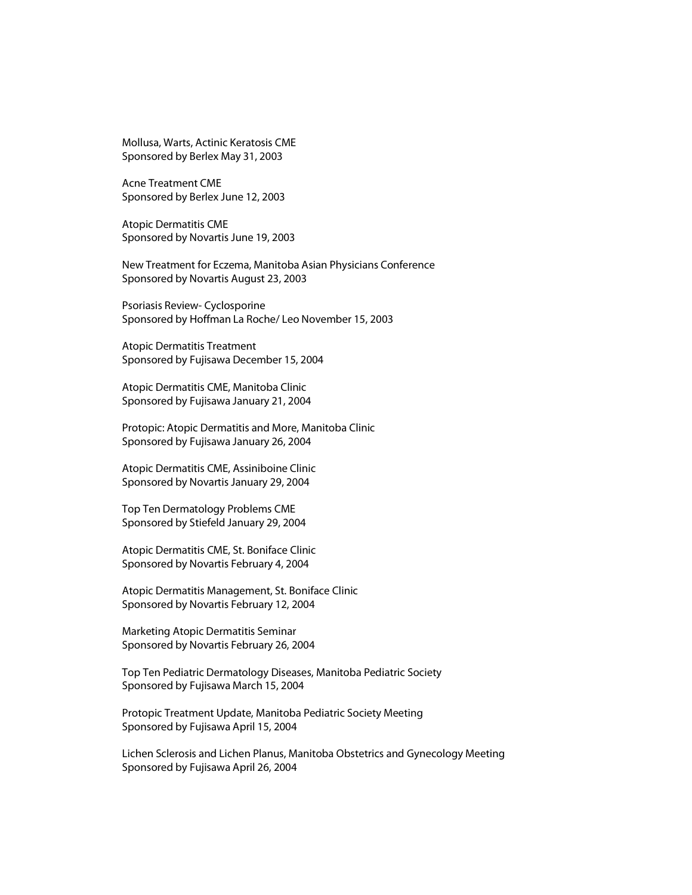Mollusa, Warts, Actinic Keratosis CME Sponsored by Berlex May 31, 2003

Acne Treatment CME Sponsored by Berlex June 12, 2003

Atopic Dermatitis CME Sponsored by Novartis June 19, 2003

New Treatment for Eczema, Manitoba Asian Physicians Conference Sponsored by Novartis August 23, 2003

Psoriasis Review- Cyclosporine Sponsored by Hoffman La Roche/ Leo November 15, 2003

Atopic Dermatitis Treatment Sponsored by Fujisawa December 15, 2004

Atopic Dermatitis CME, Manitoba Clinic Sponsored by Fujisawa January 21, 2004

Protopic: Atopic Dermatitis and More, Manitoba Clinic Sponsored by Fujisawa January 26, 2004

Atopic Dermatitis CME, Assiniboine Clinic Sponsored by Novartis January 29, 2004

Top Ten Dermatology Problems CME Sponsored by Stiefeld January 29, 2004

Atopic Dermatitis CME, St. Boniface Clinic Sponsored by Novartis February 4, 2004

Atopic Dermatitis Management, St. Boniface Clinic Sponsored by Novartis February 12, 2004

Marketing Atopic Dermatitis Seminar Sponsored by Novartis February 26, 2004

Top Ten Pediatric Dermatology Diseases, Manitoba Pediatric Society Sponsored by Fujisawa March 15, 2004

Protopic Treatment Update, Manitoba Pediatric Society Meeting Sponsored by Fujisawa April 15, 2004

Lichen Sclerosis and Lichen Planus, Manitoba Obstetrics and Gynecology Meeting Sponsored by Fujisawa April 26, 2004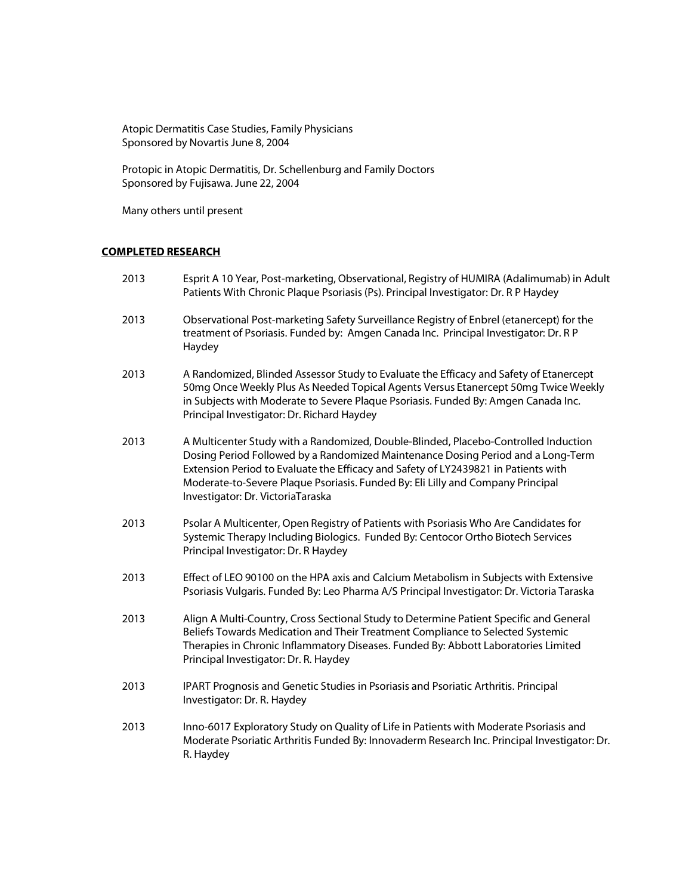Atopic Dermatitis Case Studies, Family Physicians Sponsored by Novartis June 8, 2004

Protopic in Atopic Dermatitis, Dr. Schellenburg and Family Doctors Sponsored by Fujisawa. June 22, 2004

Many others until present

# **COMPLETED RESEARCH**

| 2013 | Esprit A 10 Year, Post-marketing, Observational, Registry of HUMIRA (Adalimumab) in Adult<br>Patients With Chronic Plaque Psoriasis (Ps). Principal Investigator: Dr. R P Haydey                                                                                                                                                                                                      |
|------|---------------------------------------------------------------------------------------------------------------------------------------------------------------------------------------------------------------------------------------------------------------------------------------------------------------------------------------------------------------------------------------|
| 2013 | Observational Post-marketing Safety Surveillance Registry of Enbrel (etanercept) for the<br>treatment of Psoriasis. Funded by: Amgen Canada Inc. Principal Investigator: Dr. R P<br>Haydey                                                                                                                                                                                            |
| 2013 | A Randomized, Blinded Assessor Study to Evaluate the Efficacy and Safety of Etanercept<br>50mg Once Weekly Plus As Needed Topical Agents Versus Etanercept 50mg Twice Weekly<br>in Subjects with Moderate to Severe Plaque Psoriasis. Funded By: Amgen Canada Inc.<br>Principal Investigator: Dr. Richard Haydey                                                                      |
| 2013 | A Multicenter Study with a Randomized, Double-Blinded, Placebo-Controlled Induction<br>Dosing Period Followed by a Randomized Maintenance Dosing Period and a Long-Term<br>Extension Period to Evaluate the Efficacy and Safety of LY2439821 in Patients with<br>Moderate-to-Severe Plaque Psoriasis. Funded By: Eli Lilly and Company Principal<br>Investigator: Dr. VictoriaTaraska |
| 2013 | Psolar A Multicenter, Open Registry of Patients with Psoriasis Who Are Candidates for<br>Systemic Therapy Including Biologics. Funded By: Centocor Ortho Biotech Services<br>Principal Investigator: Dr. R Haydey                                                                                                                                                                     |
| 2013 | Effect of LEO 90100 on the HPA axis and Calcium Metabolism in Subjects with Extensive<br>Psoriasis Vulgaris. Funded By: Leo Pharma A/S Principal Investigator: Dr. Victoria Taraska                                                                                                                                                                                                   |
| 2013 | Align A Multi-Country, Cross Sectional Study to Determine Patient Specific and General<br>Beliefs Towards Medication and Their Treatment Compliance to Selected Systemic<br>Therapies in Chronic Inflammatory Diseases. Funded By: Abbott Laboratories Limited<br>Principal Investigator: Dr. R. Haydey                                                                               |
| 2013 | IPART Prognosis and Genetic Studies in Psoriasis and Psoriatic Arthritis. Principal<br>Investigator: Dr. R. Haydey                                                                                                                                                                                                                                                                    |
| 2013 | Inno-6017 Exploratory Study on Quality of Life in Patients with Moderate Psoriasis and<br>Moderate Psoriatic Arthritis Funded By: Innovaderm Research Inc. Principal Investigator: Dr.<br>R. Haydey                                                                                                                                                                                   |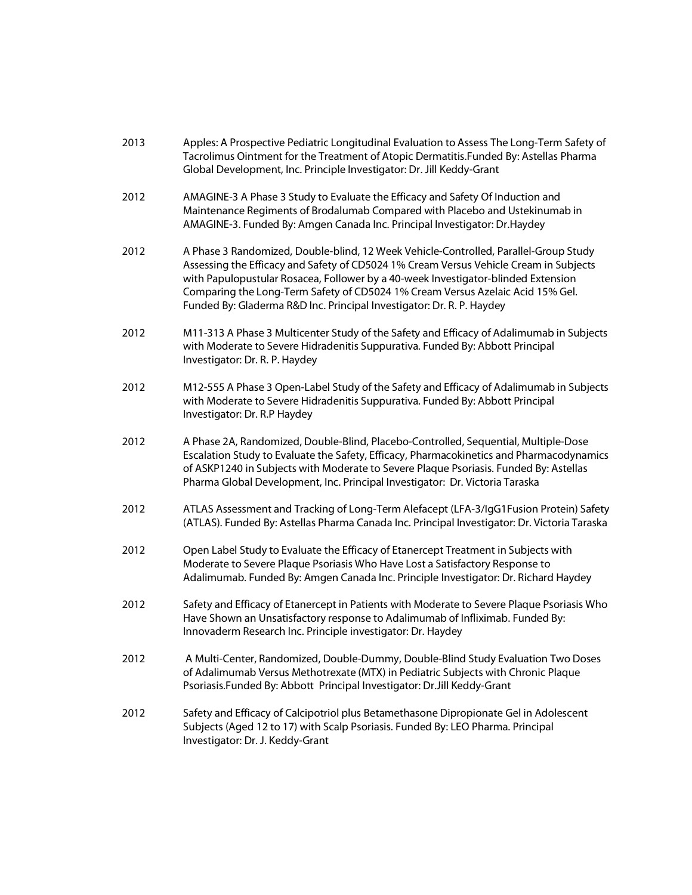| 2013 | Apples: A Prospective Pediatric Longitudinal Evaluation to Assess The Long-Term Safety of |
|------|-------------------------------------------------------------------------------------------|
|      | Tacrolimus Ointment for the Treatment of Atopic Dermatitis. Funded By: Astellas Pharma    |
|      | Global Development, Inc. Principle Investigator: Dr. Jill Keddy-Grant                     |

- 2012 AMAGINE-3 A Phase 3 Study to Evaluate the Efficacy and Safety Of Induction and Maintenance Regiments of Brodalumab Compared with Placebo and Ustekinumab in AMAGINE-3. Funded By: Amgen Canada Inc. Principal Investigator: Dr.Haydey
- 2012 A Phase 3 Randomized, Double-blind, 12 Week Vehicle-Controlled, Parallel-Group Study Assessing the Efficacy and Safety of CD5024 1% Cream Versus Vehicle Cream in Subjects with Papulopustular Rosacea, Follower by a 40-week Investigator-blinded Extension Comparing the Long-Term Safety of CD5024 1% Cream Versus Azelaic Acid 15% Gel. Funded By: Gladerma R&D Inc. Principal Investigator: Dr. R. P. Haydey
- 2012 M11-313 A Phase 3 Multicenter Study of the Safety and Efficacy of Adalimumab in Subjects with Moderate to Severe Hidradenitis Suppurativa. Funded By: Abbott Principal Investigator: Dr. R. P. Haydey
- 2012 M12-555 A Phase 3 Open-Label Study of the Safety and Efficacy of Adalimumab in Subjects with Moderate to Severe Hidradenitis Suppurativa. Funded By: Abbott Principal Investigator: Dr. R.P Haydey
- 2012 A Phase 2A, Randomized, Double-Blind, Placebo-Controlled, Sequential, Multiple-Dose Escalation Study to Evaluate the Safety, Efficacy, Pharmacokinetics and Pharmacodynamics of ASKP1240 in Subjects with Moderate to Severe Plaque Psoriasis. Funded By: Astellas Pharma Global Development, Inc. Principal Investigator: Dr. Victoria Taraska
- 2012 ATLAS Assessment and Tracking of Long-Term Alefacept (LFA-3/IgG1Fusion Protein) Safety (ATLAS). Funded By: Astellas Pharma Canada Inc. Principal Investigator: Dr. Victoria Taraska
- 2012 Open Label Study to Evaluate the Efficacy of Etanercept Treatment in Subjects with Moderate to Severe Plaque Psoriasis Who Have Lost a Satisfactory Response to Adalimumab. Funded By: Amgen Canada Inc. Principle Investigator: Dr. Richard Haydey
- 2012 Safety and Efficacy of Etanercept in Patients with Moderate to Severe Plaque Psoriasis Who Have Shown an Unsatisfactory response to Adalimumab of Infliximab. Funded By: Innovaderm Research Inc. Principle investigator: Dr. Haydey
- 2012 A Multi-Center, Randomized, Double-Dummy, Double-Blind Study Evaluation Two Doses of Adalimumab Versus Methotrexate (MTX) in Pediatric Subjects with Chronic Plaque Psoriasis.Funded By: Abbott Principal Investigator: Dr.Jill Keddy-Grant
- 2012 Safety and Efficacy of Calcipotriol plus Betamethasone Dipropionate Gel in Adolescent Subjects (Aged 12 to 17) with Scalp Psoriasis. Funded By: LEO Pharma. Principal Investigator: Dr. J. Keddy-Grant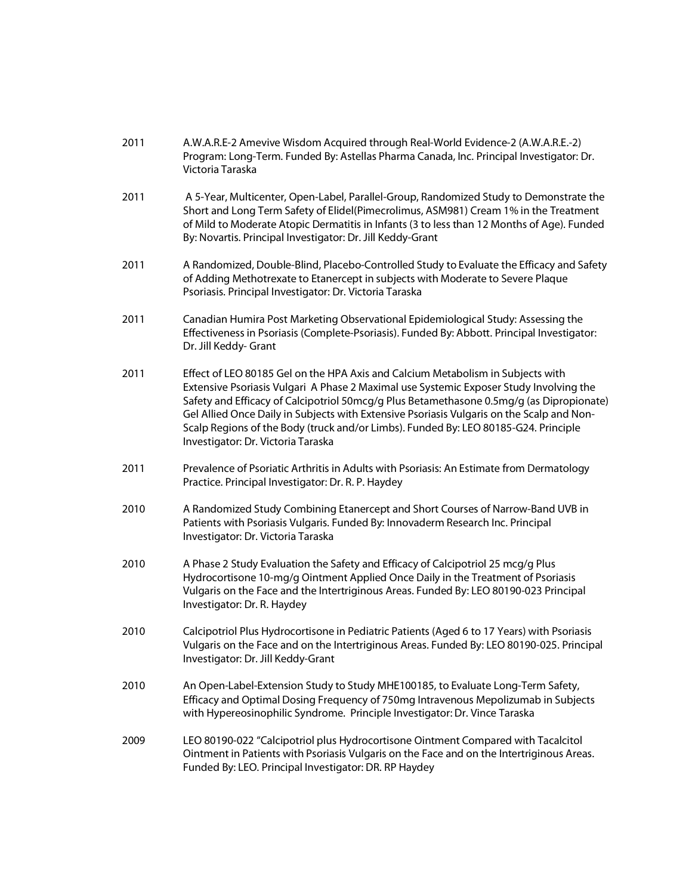| 2011 | A.W.A.R.E-2 Amevive Wisdom Acquired through Real-World Evidence-2 (A.W.A.R.E.-2)        |
|------|-----------------------------------------------------------------------------------------|
|      | Program: Long-Term. Funded By: Astellas Pharma Canada, Inc. Principal Investigator: Dr. |
|      | Victoria Taraska                                                                        |

- 2011 A 5-Year, Multicenter, Open-Label, Parallel-Group, Randomized Study to Demonstrate the Short and Long Term Safety of Elidel(Pimecrolimus, ASM981) Cream 1% in the Treatment of Mild to Moderate Atopic Dermatitis in Infants (3 to less than 12 Months of Age). Funded By: Novartis. Principal Investigator: Dr. Jill Keddy-Grant
- 2011 A Randomized, Double-Blind, Placebo-Controlled Study to Evaluate the Efficacy and Safety of Adding Methotrexate to Etanercept in subjects with Moderate to Severe Plaque Psoriasis. Principal Investigator: Dr. Victoria Taraska
- 2011 Canadian Humira Post Marketing Observational Epidemiological Study: Assessing the Effectiveness in Psoriasis (Complete-Psoriasis). Funded By: Abbott. Principal Investigator: Dr. Jill Keddy- Grant
- 2011 Effect of LEO 80185 Gel on the HPA Axis and Calcium Metabolism in Subjects with Extensive Psoriasis Vulgari A Phase 2 Maximal use Systemic Exposer Study Involving the Safety and Efficacy of Calcipotriol 50mcg/g Plus Betamethasone 0.5mg/g (as Dipropionate) Gel Allied Once Daily in Subjects with Extensive Psoriasis Vulgaris on the Scalp and Non-Scalp Regions of the Body (truck and/or Limbs). Funded By: LEO 80185-G24. Principle Investigator: Dr. Victoria Taraska
- 2011 Prevalence of Psoriatic Arthritis in Adults with Psoriasis: An Estimate from Dermatology Practice. Principal Investigator: Dr. R. P. Haydey
- 2010 A Randomized Study Combining Etanercept and Short Courses of Narrow-Band UVB in Patients with Psoriasis Vulgaris. Funded By: Innovaderm Research Inc. Principal Investigator: Dr. Victoria Taraska
- 2010 A Phase 2 Study Evaluation the Safety and Efficacy of Calcipotriol 25 mcg/g Plus Hydrocortisone 10-mg/g Ointment Applied Once Daily in the Treatment of Psoriasis Vulgaris on the Face and the Intertriginous Areas. Funded By: LEO 80190-023 Principal Investigator: Dr. R. Haydey
- 2010 Calcipotriol Plus Hydrocortisone in Pediatric Patients (Aged 6 to 17 Years) with Psoriasis Vulgaris on the Face and on the Intertriginous Areas. Funded By: LEO 80190-025. Principal Investigator: Dr. Jill Keddy-Grant
- 2010 An Open-Label-Extension Study to Study MHE100185, to Evaluate Long-Term Safety, Efficacy and Optimal Dosing Frequency of 750mg Intravenous Mepolizumab in Subjects with Hypereosinophilic Syndrome. Principle Investigator: Dr. Vince Taraska
- 2009 LEO 80190-022 "Calcipotriol plus Hydrocortisone Ointment Compared with Tacalcitol Ointment in Patients with Psoriasis Vulgaris on the Face and on the Intertriginous Areas. Funded By: LEO. Principal Investigator: DR. RP Haydey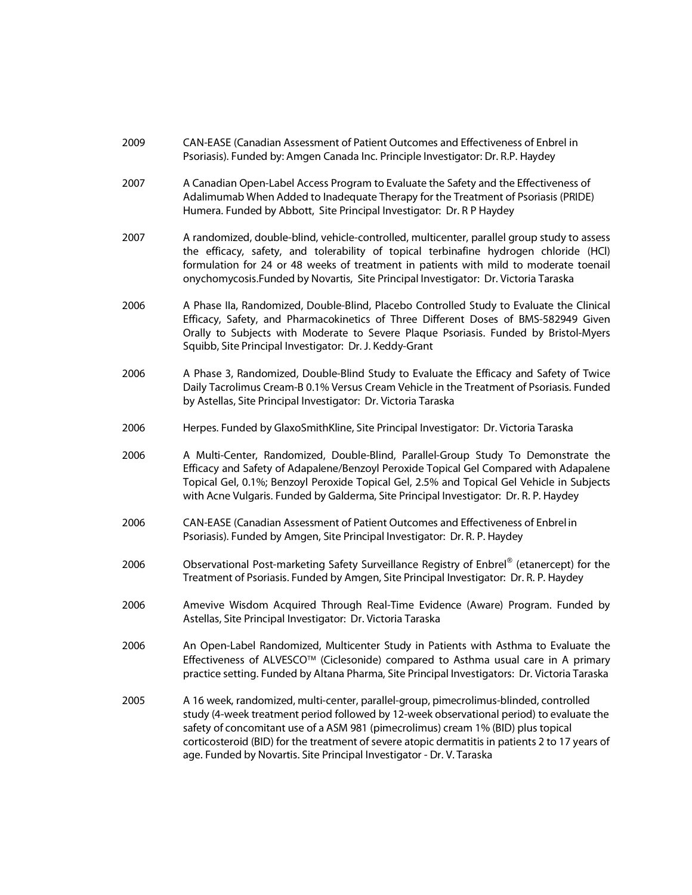| 2009 | CAN-EASE (Canadian Assessment of Patient Outcomes and Effectiveness of Enbrel in<br>Psoriasis). Funded by: Amgen Canada Inc. Principle Investigator: Dr. R.P. Haydey                                                                                                                                                                                                                                                                               |
|------|----------------------------------------------------------------------------------------------------------------------------------------------------------------------------------------------------------------------------------------------------------------------------------------------------------------------------------------------------------------------------------------------------------------------------------------------------|
| 2007 | A Canadian Open-Label Access Program to Evaluate the Safety and the Effectiveness of<br>Adalimumab When Added to Inadequate Therapy for the Treatment of Psoriasis (PRIDE)<br>Humera. Funded by Abbott, Site Principal Investigator: Dr. R P Haydey                                                                                                                                                                                                |
| 2007 | A randomized, double-blind, vehicle-controlled, multicenter, parallel group study to assess<br>the efficacy, safety, and tolerability of topical terbinafine hydrogen chloride (HCl)<br>formulation for 24 or 48 weeks of treatment in patients with mild to moderate toenail<br>onychomycosis.Funded by Novartis, Site Principal Investigator: Dr. Victoria Taraska                                                                               |
| 2006 | A Phase IIa, Randomized, Double-Blind, Placebo Controlled Study to Evaluate the Clinical<br>Efficacy, Safety, and Pharmacokinetics of Three Different Doses of BMS-582949 Given<br>Orally to Subjects with Moderate to Severe Plaque Psoriasis. Funded by Bristol-Myers<br>Squibb, Site Principal Investigator: Dr. J. Keddy-Grant                                                                                                                 |
| 2006 | A Phase 3, Randomized, Double-Blind Study to Evaluate the Efficacy and Safety of Twice<br>Daily Tacrolimus Cream-B 0.1% Versus Cream Vehicle in the Treatment of Psoriasis. Funded<br>by Astellas, Site Principal Investigator: Dr. Victoria Taraska                                                                                                                                                                                               |
| 2006 | Herpes. Funded by GlaxoSmithKline, Site Principal Investigator: Dr. Victoria Taraska                                                                                                                                                                                                                                                                                                                                                               |
| 2006 | A Multi-Center, Randomized, Double-Blind, Parallel-Group Study To Demonstrate the<br>Efficacy and Safety of Adapalene/Benzoyl Peroxide Topical Gel Compared with Adapalene<br>Topical Gel, 0.1%; Benzoyl Peroxide Topical Gel, 2.5% and Topical Gel Vehicle in Subjects<br>with Acne Vulgaris. Funded by Galderma, Site Principal Investigator: Dr. R. P. Haydey                                                                                   |
| 2006 | CAN-EASE (Canadian Assessment of Patient Outcomes and Effectiveness of Enbrelin<br>Psoriasis). Funded by Amgen, Site Principal Investigator: Dr. R. P. Haydey                                                                                                                                                                                                                                                                                      |
| 2006 | Observational Post-marketing Safety Surveillance Registry of Enbrel® (etanercept) for the<br>Treatment of Psoriasis. Funded by Amgen, Site Principal Investigator: Dr. R. P. Haydey                                                                                                                                                                                                                                                                |
| 2006 | Amevive Wisdom Acquired Through Real-Time Evidence (Aware) Program. Funded by<br>Astellas, Site Principal Investigator: Dr. Victoria Taraska                                                                                                                                                                                                                                                                                                       |
| 2006 | An Open-Label Randomized, Multicenter Study in Patients with Asthma to Evaluate the<br>Effectiveness of ALVESCO™ (Ciclesonide) compared to Asthma usual care in A primary<br>practice setting. Funded by Altana Pharma, Site Principal Investigators: Dr. Victoria Taraska                                                                                                                                                                         |
| 2005 | A 16 week, randomized, multi-center, parallel-group, pimecrolimus-blinded, controlled<br>study (4-week treatment period followed by 12-week observational period) to evaluate the<br>safety of concomitant use of a ASM 981 (pimecrolimus) cream 1% (BID) plus topical<br>corticosteroid (BID) for the treatment of severe atopic dermatitis in patients 2 to 17 years of<br>age. Funded by Novartis. Site Principal Investigator - Dr. V. Taraska |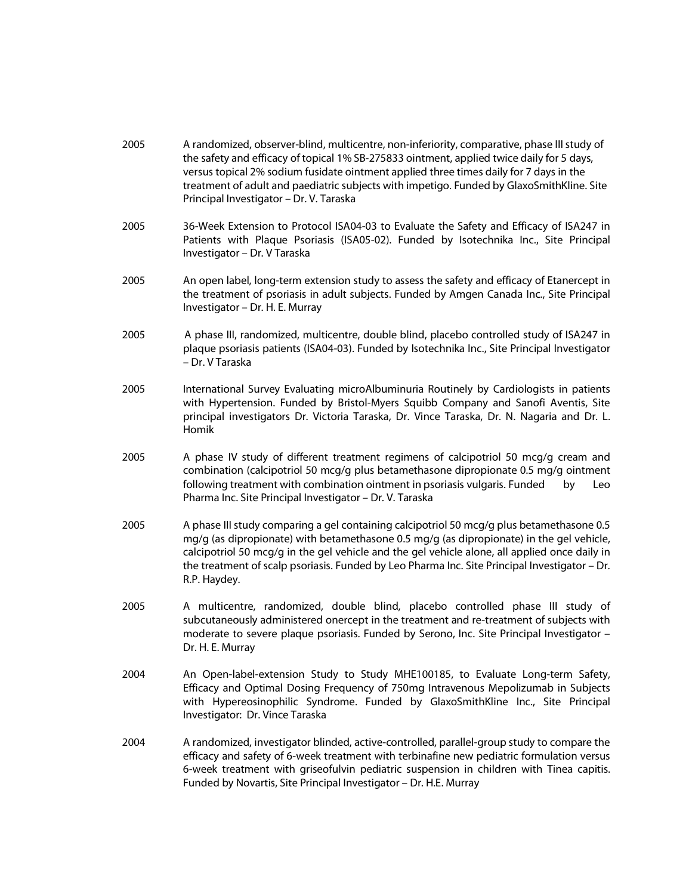| 2005 | A randomized, observer-blind, multicentre, non-inferiority, comparative, phase III study of<br>the safety and efficacy of topical 1% SB-275833 ointment, applied twice daily for 5 days,<br>versus topical 2% sodium fusidate ointment applied three times daily for 7 days in the<br>treatment of adult and paediatric subjects with impetigo. Funded by GlaxoSmithKline. Site<br>Principal Investigator - Dr. V. Taraska |
|------|----------------------------------------------------------------------------------------------------------------------------------------------------------------------------------------------------------------------------------------------------------------------------------------------------------------------------------------------------------------------------------------------------------------------------|
| 2005 | 36-Week Extension to Protocol ISA04-03 to Evaluate the Safety and Efficacy of ISA247 in<br>Patients with Plaque Psoriasis (ISA05-02). Funded by Isotechnika Inc., Site Principal<br>Investigator - Dr. V Taraska                                                                                                                                                                                                           |
| 2005 | An open label, long-term extension study to assess the safety and efficacy of Etanercept in<br>the treatment of psoriasis in adult subjects. Funded by Amgen Canada Inc., Site Principal<br>Investigator - Dr. H. E. Murray                                                                                                                                                                                                |
| 2005 | A phase III, randomized, multicentre, double blind, placebo controlled study of ISA247 in<br>plaque psoriasis patients (ISA04-03). Funded by Isotechnika Inc., Site Principal Investigator<br>– Dr. V Taraska                                                                                                                                                                                                              |
| 2005 | International Survey Evaluating microAlbuminuria Routinely by Cardiologists in patients<br>with Hypertension. Funded by Bristol-Myers Squibb Company and Sanofi Aventis, Site<br>principal investigators Dr. Victoria Taraska, Dr. Vince Taraska, Dr. N. Nagaria and Dr. L.<br>Homik                                                                                                                                       |
| 2005 | A phase IV study of different treatment regimens of calcipotriol 50 mcg/g cream and<br>combination (calcipotriol 50 mcg/g plus betamethasone dipropionate 0.5 mg/g ointment<br>following treatment with combination ointment in psoriasis vulgaris. Funded<br>by<br>Leo<br>Pharma Inc. Site Principal Investigator - Dr. V. Taraska                                                                                        |
| 2005 | A phase III study comparing a gel containing calcipotriol 50 mcg/g plus betamethasone 0.5<br>mg/g (as dipropionate) with betamethasone 0.5 mg/g (as dipropionate) in the gel vehicle,<br>calcipotriol 50 mcg/g in the gel vehicle and the gel vehicle alone, all applied once daily in<br>the treatment of scalp psoriasis. Funded by Leo Pharma Inc. Site Principal Investigator - Dr.<br>R.P. Haydey.                    |
| 2005 | A multicentre, randomized, double blind, placebo controlled phase III study of<br>subcutaneously administered onercept in the treatment and re-treatment of subjects with<br>moderate to severe plaque psoriasis. Funded by Serono, Inc. Site Principal Investigator -<br>Dr. H. E. Murray                                                                                                                                 |
| 2004 | An Open-label-extension Study to Study MHE100185, to Evaluate Long-term Safety,<br>Efficacy and Optimal Dosing Frequency of 750mg Intravenous Mepolizumab in Subjects<br>with Hypereosinophilic Syndrome. Funded by GlaxoSmithKline Inc., Site Principal<br>Investigator: Dr. Vince Taraska                                                                                                                                |
| 2004 | A randomized, investigator blinded, active-controlled, parallel-group study to compare the<br>efficacy and safety of 6-week treatment with terbinafine new pediatric formulation versus<br>6-week treatment with griseofulvin pediatric suspension in children with Tinea capitis.<br>Funded by Novartis, Site Principal Investigator - Dr. H.E. Murray                                                                    |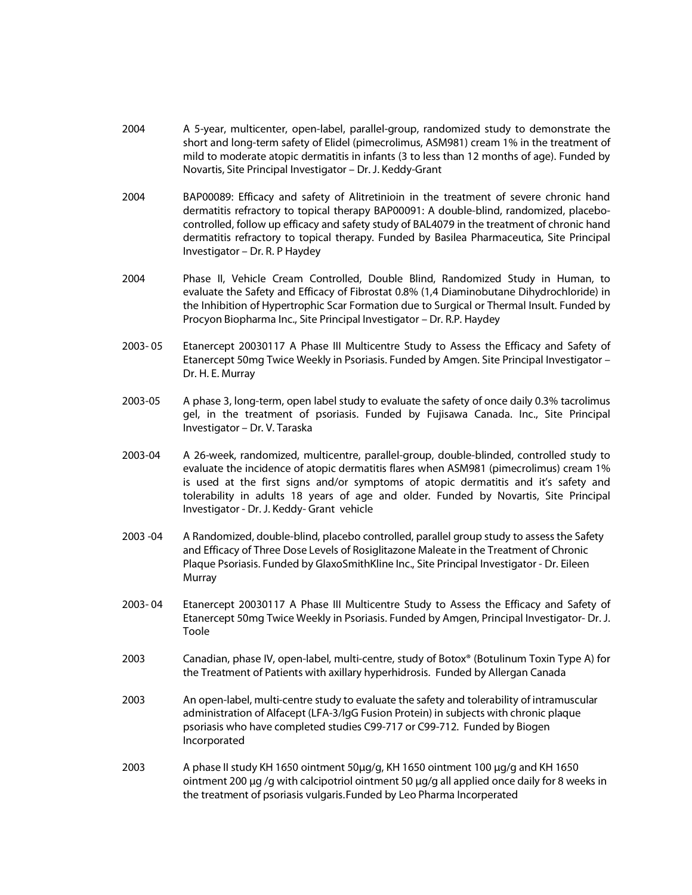- 2004 A 5-year, multicenter, open-label, parallel-group, randomized study to demonstrate the short and long-term safety of Elidel (pimecrolimus, ASM981) cream 1% in the treatment of mild to moderate atopic dermatitis in infants (3 to less than 12 months of age). Funded by Novartis, Site Principal Investigator – Dr. J. Keddy-Grant
- 2004 BAP00089: Efficacy and safety of Alitretinioin in the treatment of severe chronic hand dermatitis refractory to topical therapy BAP00091: A double-blind, randomized, placebocontrolled, follow up efficacy and safety study of BAL4079 in the treatment of chronic hand dermatitis refractory to topical therapy. Funded by Basilea Pharmaceutica, Site Principal Investigator – Dr. R. P Haydey
- 2004 Phase II, Vehicle Cream Controlled, Double Blind, Randomized Study in Human, to evaluate the Safety and Efficacy of Fibrostat 0.8% (1,4 Diaminobutane Dihydrochloride) in the Inhibition of Hypertrophic Scar Formation due to Surgical or Thermal Insult. Funded by Procyon Biopharma Inc., Site Principal Investigator – Dr. R.P. Haydey
- 2003- 05 Etanercept 20030117 A Phase III Multicentre Study to Assess the Efficacy and Safety of Etanercept 50mg Twice Weekly in Psoriasis. Funded by Amgen. Site Principal Investigator – Dr. H. E. Murray
- 2003-05 A phase 3, long-term, open label study to evaluate the safety of once daily 0.3% tacrolimus gel, in the treatment of psoriasis. Funded by Fujisawa Canada. Inc., Site Principal Investigator – Dr. V. Taraska
- 2003-04 A 26-week, randomized, multicentre, parallel-group, double-blinded, controlled study to evaluate the incidence of atopic dermatitis flares when ASM981 (pimecrolimus) cream 1% is used at the first signs and/or symptoms of atopic dermatitis and it's safety and tolerability in adults 18 years of age and older. Funded by Novartis, Site Principal Investigator - Dr. J. Keddy- Grant vehicle
- 2003 -04 A Randomized, double-blind, placebo controlled, parallel group study to assess the Safety and Efficacy of Three Dose Levels of Rosiglitazone Maleate in the Treatment of Chronic Plaque Psoriasis. Funded by GlaxoSmithKline Inc., Site Principal Investigator - Dr. Eileen Murray
- 2003- 04 Etanercept 20030117 A Phase III Multicentre Study to Assess the Efficacy and Safety of Etanercept 50mg Twice Weekly in Psoriasis. Funded by Amgen, Principal Investigator- Dr. J. Toole
- 2003 Canadian, phase IV, open-label, multi-centre, study of Botox® (Botulinum Toxin Type A) for the Treatment of Patients with axillary hyperhidrosis. Funded by Allergan Canada
- 2003 An open-label, multi-centre study to evaluate the safety and tolerability of intramuscular administration of Alfacept (LFA-3/IgG Fusion Protein) in subjects with chronic plaque psoriasis who have completed studies C99-717 or C99-712. Funded by Biogen Incorporated
- 2003 A phase II study KH 1650 ointment 50μg/g, KH 1650 ointment 100 μg/g and KH 1650 ointment 200 μg /g with calcipotriol ointment 50 μg/g all applied once daily for 8 weeks in the treatment of psoriasis vulgaris. Funded by Leo Pharma Incorperated